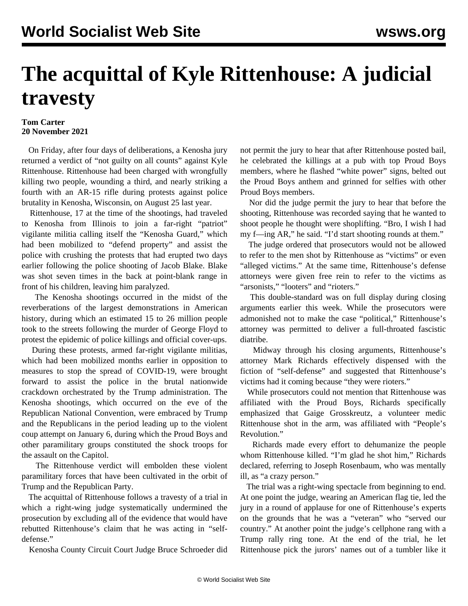## **The acquittal of Kyle Rittenhouse: A judicial travesty**

## **Tom Carter 20 November 2021**

 On Friday, after four days of deliberations, a Kenosha jury returned a verdict of "not guilty on all counts" against Kyle Rittenhouse. Rittenhouse had been charged with wrongfully killing two people, wounding a third, and nearly striking a fourth with an AR-15 rifle during protests against police brutality in Kenosha, Wisconsin, on August 25 last year.

 Rittenhouse, 17 at the time of the shootings, had traveled to Kenosha from Illinois to join a far-right "patriot" vigilante militia calling itself the "Kenosha Guard," which had been mobilized to "defend property" and assist the police with crushing the protests that had erupted two days earlier following the police shooting of Jacob Blake. Blake was shot seven times in the back at point-blank range in front of his children, leaving him paralyzed.

 The Kenosha shootings occurred in the midst of the reverberations of the largest demonstrations in American history, during which an estimated 15 to 26 million people took to the streets following the murder of George Floyd to protest the epidemic of police killings and official cover-ups.

 During these protests, armed far-right vigilante militias, which had been mobilized months earlier in opposition to measures to stop the spread of COVID-19, were brought forward to assist the police in the brutal nationwide crackdown orchestrated by the Trump administration. The Kenosha shootings, which occurred on the eve of the Republican National Convention, were embraced by Trump and the Republicans in the period leading up to the violent coup attempt on January 6, during which the Proud Boys and other paramilitary groups constituted the shock troops for the assault on the Capitol.

 The Rittenhouse verdict will embolden these violent paramilitary forces that have been cultivated in the orbit of Trump and the Republican Party.

 The acquittal of Rittenhouse follows a travesty of a trial in which a right-wing judge systematically undermined the prosecution by excluding all of the evidence that would have rebutted Rittenhouse's claim that he was acting in "selfdefense."

Kenosha County Circuit Court Judge Bruce Schroeder did

not permit the jury to hear that after Rittenhouse posted bail, he celebrated the killings at a pub with top Proud Boys members, where he flashed "white power" signs, belted out the Proud Boys anthem and grinned for selfies with other Proud Boys members.

 Nor did the judge permit the jury to hear that before the shooting, Rittenhouse was recorded saying that he wanted to shoot people he thought were shoplifting. "Bro, I wish I had my f—ing AR," he said. "I'd start shooting rounds at them."

 The judge ordered that prosecutors would not be allowed to refer to the men shot by Rittenhouse as "victims" or even "alleged victims." At the same time, Rittenhouse's defense attorneys were given free rein to refer to the victims as "arsonists," "looters" and "rioters."

 This double-standard was on full display during closing arguments earlier this week. While the prosecutors were admonished not to make the case "political," Rittenhouse's attorney was permitted to deliver a full-throated fascistic diatribe.

 Midway through his closing arguments, Rittenhouse's attorney Mark Richards effectively dispensed with the fiction of "self-defense" and suggested that Rittenhouse's victims had it coming because "they were rioters."

 While prosecutors could not mention that Rittenhouse was affiliated with the Proud Boys, Richards specifically emphasized that Gaige Grosskreutz, a volunteer medic Rittenhouse shot in the arm, was affiliated with "People's Revolution."

 Richards made every effort to dehumanize the people whom Rittenhouse killed. "I'm glad he shot him," Richards declared, referring to Joseph Rosenbaum, who was mentally ill, as "a crazy person."

 The trial was a right-wing spectacle from beginning to end. At one point the judge, wearing an American flag tie, led the jury in a round of applause for one of Rittenhouse's experts on the grounds that he was a "veteran" who "served our country." At another point the judge's cellphone rang with a Trump rally ring tone. At the end of the trial, he let Rittenhouse pick the jurors' names out of a tumbler like it